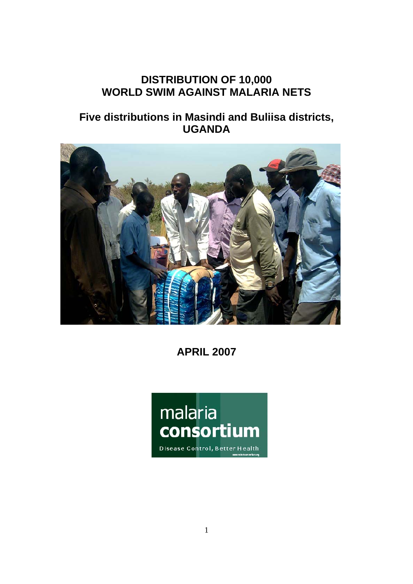# **DISTRIBUTION OF 10,000 WORLD SWIM AGAINST MALARIA NETS**

# **Five distributions in Masindi and Buliisa districts, UGANDA**



**APRIL 2007** 

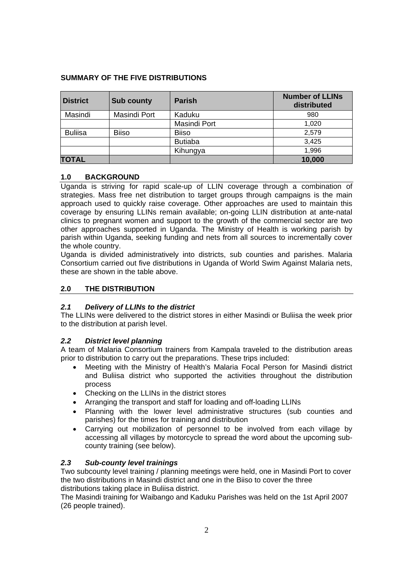# **SUMMARY OF THE FIVE DISTRIBUTIONS**

| <b>District</b> | <b>Sub county</b> | <b>Parish</b>  | <b>Number of LLINs</b><br>distributed |
|-----------------|-------------------|----------------|---------------------------------------|
| Masindi         | Masindi Port      | Kaduku         | 980                                   |
|                 |                   | Masindi Port   | 1,020                                 |
| <b>Buliisa</b>  | <b>Biiso</b>      | <b>Biiso</b>   | 2,579                                 |
|                 |                   | <b>Butiaba</b> | 3,425                                 |
|                 |                   | Kihungya       | 1,996                                 |
| <b>TOTAL</b>    |                   |                | 10,000                                |

# **1.0 BACKGROUND**

Uganda is striving for rapid scale-up of LLIN coverage through a combination of strategies. Mass free net distribution to target groups through campaigns is the main approach used to quickly raise coverage. Other approaches are used to maintain this coverage by ensuring LLINs remain available; on-going LLIN distribution at ante-natal clinics to pregnant women and support to the growth of the commercial sector are two other approaches supported in Uganda. The Ministry of Health is working parish by parish within Uganda, seeking funding and nets from all sources to incrementally cover the whole country.

Uganda is divided administratively into districts, sub counties and parishes. Malaria Consortium carried out five distributions in Uganda of World Swim Against Malaria nets, these are shown in the table above.

## **2.0 THE DISTRIBUTION**

## *2.1 Delivery of LLINs to the district*

The LLINs were delivered to the district stores in either Masindi or Buliisa the week prior to the distribution at parish level.

## *2.2 District level planning*

A team of Malaria Consortium trainers from Kampala traveled to the distribution areas prior to distribution to carry out the preparations. These trips included:

- Meeting with the Ministry of Health's Malaria Focal Person for Masindi district and Buliisa district who supported the activities throughout the distribution process
- Checking on the LLINs in the district stores
- Arranging the transport and staff for loading and off-loading LLINs
- Planning with the lower level administrative structures (sub counties and parishes) for the times for training and distribution
- Carrying out mobilization of personnel to be involved from each village by accessing all villages by motorcycle to spread the word about the upcoming subcounty training (see below).

## *2.3 Sub-county level trainings*

Two subcounty level training / planning meetings were held, one in Masindi Port to cover the two distributions in Masindi district and one in the Biiso to cover the three distributions taking place in Buliisa district.

The Masindi training for Waibango and Kaduku Parishes was held on the 1st April 2007 (26 people trained).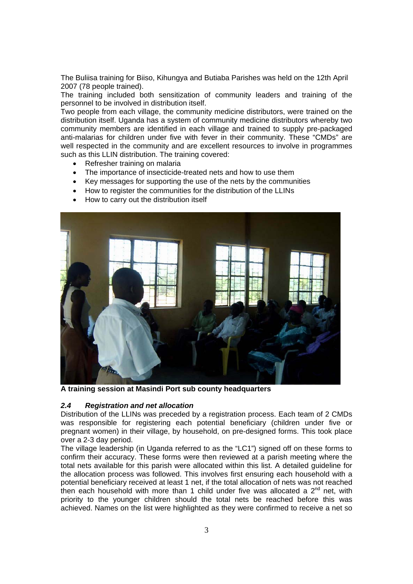The Buliisa training for Biiso, Kihungya and Butiaba Parishes was held on the 12th April 2007 (78 people trained).

The training included both sensitization of community leaders and training of the personnel to be involved in distribution itself.

Two people from each village, the community medicine distributors, were trained on the distribution itself. Uganda has a system of community medicine distributors whereby two community members are identified in each village and trained to supply pre-packaged anti-malarias for children under five with fever in their community. These "CMDs" are well respected in the community and are excellent resources to involve in programmes such as this LLIN distribution. The training covered:

- Refresher training on malaria
- The importance of insecticide-treated nets and how to use them
- Key messages for supporting the use of the nets by the communities
- How to register the communities for the distribution of the LLINs
- How to carry out the distribution itself



**A training session at Masindi Port sub county headquarters** 

### *2.4 Registration and net allocation*

Distribution of the LLINs was preceded by a registration process. Each team of 2 CMDs was responsible for registering each potential beneficiary (children under five or pregnant women) in their village, by household, on pre-designed forms. This took place over a 2-3 day period.

The village leadership (in Uganda referred to as the "LC1") signed off on these forms to confirm their accuracy. These forms were then reviewed at a parish meeting where the total nets available for this parish were allocated within this list. A detailed guideline for the allocation process was followed. This involves first ensuring each household with a potential beneficiary received at least 1 net, if the total allocation of nets was not reached then each household with more than 1 child under five was allocated a  $2^{nd}$  net, with priority to the younger children should the total nets be reached before this was achieved. Names on the list were highlighted as they were confirmed to receive a net so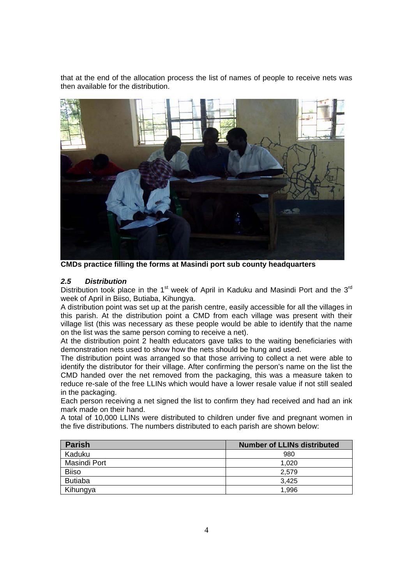that at the end of the allocation process the list of names of people to receive nets was then available for the distribution.



**CMDs practice filling the forms at Masindi port sub county headquarters** 

## *2.5 Distribution*

Distribution took place in the 1<sup>st</sup> week of April in Kaduku and Masindi Port and the  $3<sup>rd</sup>$ week of April in Biiso, Butiaba, Kihungya.

A distribution point was set up at the parish centre, easily accessible for all the villages in this parish. At the distribution point a CMD from each village was present with their village list (this was necessary as these people would be able to identify that the name on the list was the same person coming to receive a net).

At the distribution point 2 health educators gave talks to the waiting beneficiaries with demonstration nets used to show how the nets should be hung and used.

The distribution point was arranged so that those arriving to collect a net were able to identify the distributor for their village. After confirming the person's name on the list the CMD handed over the net removed from the packaging, this was a measure taken to reduce re-sale of the free LLINs which would have a lower resale value if not still sealed in the packaging.

Each person receiving a net signed the list to confirm they had received and had an ink mark made on their hand.

A total of 10,000 LLINs were distributed to children under five and pregnant women in the five distributions. The numbers distributed to each parish are shown below:

| <b>Parish</b>  | <b>Number of LLINs distributed</b> |
|----------------|------------------------------------|
| Kaduku         | 980                                |
| Masindi Port   | 1.020                              |
| <b>Biiso</b>   | 2,579                              |
| <b>Butiaba</b> | 3.425                              |
| Kihungya       | 1.996                              |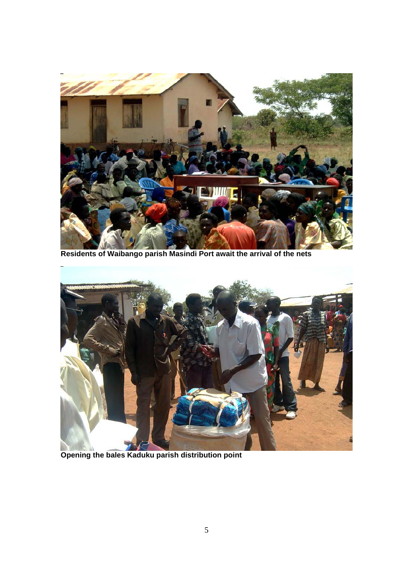

**Residents of Waibango parish Masindi Port await the arrival of the nets** 



**Opening the bales Kaduku parish distribution point**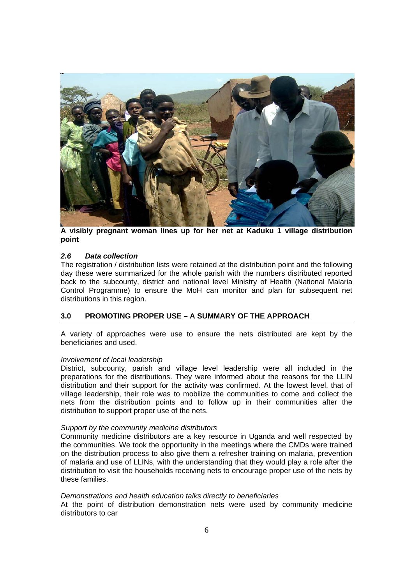

**A visibly pregnant woman lines up for her net at Kaduku 1 village distribution point** 

### *2.6 Data collection*

The registration / distribution lists were retained at the distribution point and the following day these were summarized for the whole parish with the numbers distributed reported back to the subcounty, district and national level Ministry of Health (National Malaria Control Programme) to ensure the MoH can monitor and plan for subsequent net distributions in this region.

## **3.0 PROMOTING PROPER USE – A SUMMARY OF THE APPROACH**

A variety of approaches were use to ensure the nets distributed are kept by the beneficiaries and used.

#### *Involvement of local leadership*

District, subcounty, parish and village level leadership were all included in the preparations for the distributions. They were informed about the reasons for the LLIN distribution and their support for the activity was confirmed. At the lowest level, that of village leadership, their role was to mobilize the communities to come and collect the nets from the distribution points and to follow up in their communities after the distribution to support proper use of the nets.

#### *Support by the community medicine distributors*

Community medicine distributors are a key resource in Uganda and well respected by the communities. We took the opportunity in the meetings where the CMDs were trained on the distribution process to also give them a refresher training on malaria, prevention of malaria and use of LLINs, with the understanding that they would play a role after the distribution to visit the households receiving nets to encourage proper use of the nets by these families.

#### *Demonstrations and health education talks directly to beneficiaries*

At the point of distribution demonstration nets were used by community medicine distributors to car